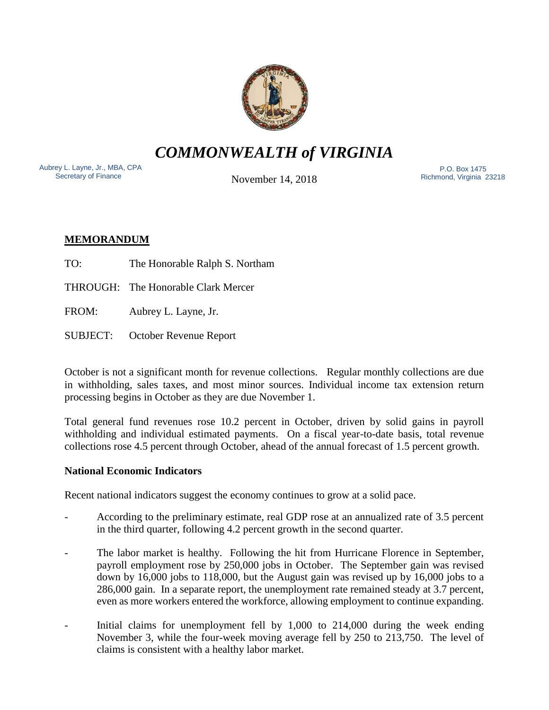

*COMMONWEALTH of VIRGINIA*

Aubrey L. Layne, Jr., MBA, CPA Secretary of Finance

November 14, 2018

 P.O. Box 1475 Richmond, Virginia 23218

# **MEMORANDUM**

TO: The Honorable Ralph S. Northam

THROUGH: The Honorable Clark Mercer

FROM: Aubrey L. Layne, Jr.

SUBJECT: October Revenue Report

October is not a significant month for revenue collections. Regular monthly collections are due in withholding, sales taxes, and most minor sources. Individual income tax extension return processing begins in October as they are due November 1.

Total general fund revenues rose 10.2 percent in October, driven by solid gains in payroll withholding and individual estimated payments. On a fiscal year-to-date basis, total revenue collections rose 4.5 percent through October, ahead of the annual forecast of 1.5 percent growth.

## **National Economic Indicators**

Recent national indicators suggest the economy continues to grow at a solid pace.

- According to the preliminary estimate, real GDP rose at an annualized rate of 3.5 percent in the third quarter, following 4.2 percent growth in the second quarter.
- The labor market is healthy. Following the hit from Hurricane Florence in September, payroll employment rose by 250,000 jobs in October. The September gain was revised down by 16,000 jobs to 118,000, but the August gain was revised up by 16,000 jobs to a 286,000 gain. In a separate report, the unemployment rate remained steady at 3.7 percent, even as more workers entered the workforce, allowing employment to continue expanding.
- Initial claims for unemployment fell by  $1,000$  to  $214,000$  during the week ending November 3, while the four-week moving average fell by 250 to 213,750. The level of claims is consistent with a healthy labor market.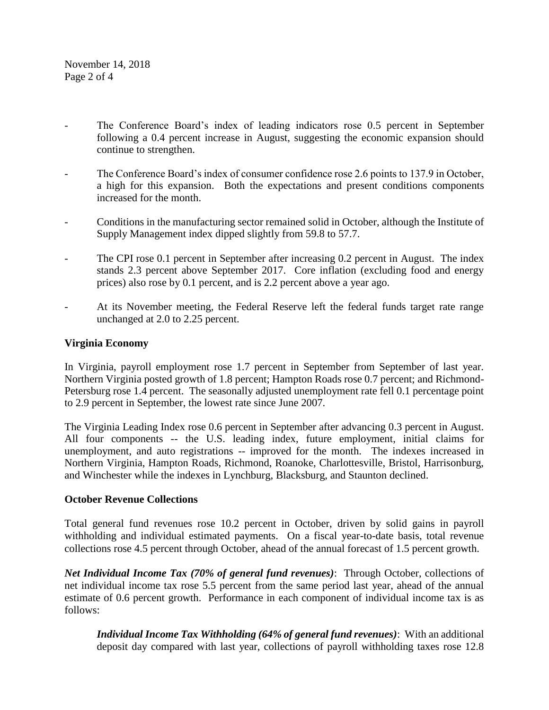November 14, 2018 Page 2 of 4

- The Conference Board's index of leading indicators rose 0.5 percent in September following a 0.4 percent increase in August, suggesting the economic expansion should continue to strengthen.
- The Conference Board's index of consumer confidence rose 2.6 points to 137.9 in October, a high for this expansion. Both the expectations and present conditions components increased for the month.
- Conditions in the manufacturing sector remained solid in October, although the Institute of Supply Management index dipped slightly from 59.8 to 57.7.
- The CPI rose 0.1 percent in September after increasing 0.2 percent in August. The index stands 2.3 percent above September 2017. Core inflation (excluding food and energy prices) also rose by 0.1 percent, and is 2.2 percent above a year ago.
- At its November meeting, the Federal Reserve left the federal funds target rate range unchanged at 2.0 to 2.25 percent.

### **Virginia Economy**

In Virginia, payroll employment rose 1.7 percent in September from September of last year. Northern Virginia posted growth of 1.8 percent; Hampton Roads rose 0.7 percent; and Richmond-Petersburg rose 1.4 percent. The seasonally adjusted unemployment rate fell 0.1 percentage point to 2.9 percent in September, the lowest rate since June 2007.

The Virginia Leading Index rose 0.6 percent in September after advancing 0.3 percent in August. All four components -- the U.S. leading index, future employment, initial claims for unemployment, and auto registrations -- improved for the month. The indexes increased in Northern Virginia, Hampton Roads, Richmond, Roanoke, Charlottesville, Bristol, Harrisonburg, and Winchester while the indexes in Lynchburg, Blacksburg, and Staunton declined.

#### **October Revenue Collections**

Total general fund revenues rose 10.2 percent in October, driven by solid gains in payroll withholding and individual estimated payments. On a fiscal year-to-date basis, total revenue collections rose 4.5 percent through October, ahead of the annual forecast of 1.5 percent growth.

*Net Individual Income Tax (70% of general fund revenues)*: Through October, collections of net individual income tax rose 5.5 percent from the same period last year, ahead of the annual estimate of 0.6 percent growth. Performance in each component of individual income tax is as follows:

*Individual Income Tax Withholding (64% of general fund revenues)*: With an additional deposit day compared with last year, collections of payroll withholding taxes rose 12.8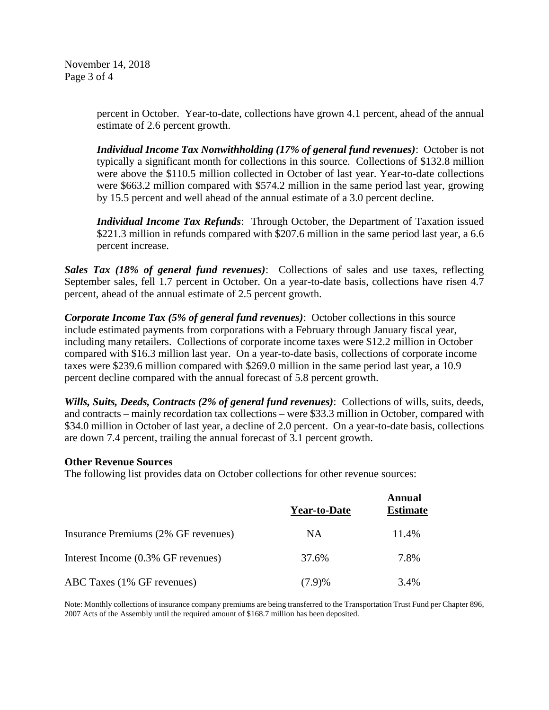November 14, 2018 Page 3 of 4

> percent in October. Year-to-date, collections have grown 4.1 percent, ahead of the annual estimate of 2.6 percent growth.

> *Individual Income Tax Nonwithholding (17% of general fund revenues)*: October is not typically a significant month for collections in this source. Collections of \$132.8 million were above the \$110.5 million collected in October of last year. Year-to-date collections were \$663.2 million compared with \$574.2 million in the same period last year, growing by 15.5 percent and well ahead of the annual estimate of a 3.0 percent decline.

> *Individual Income Tax Refunds*: Through October, the Department of Taxation issued \$221.3 million in refunds compared with \$207.6 million in the same period last year, a 6.6 percent increase.

*Sales Tax (18% of general fund revenues)*: Collections of sales and use taxes, reflecting September sales, fell 1.7 percent in October. On a year-to-date basis, collections have risen 4.7 percent, ahead of the annual estimate of 2.5 percent growth.

*Corporate Income Tax (5% of general fund revenues)*: October collections in this source include estimated payments from corporations with a February through January fiscal year, including many retailers. Collections of corporate income taxes were \$12.2 million in October compared with \$16.3 million last year. On a year-to-date basis, collections of corporate income taxes were \$239.6 million compared with \$269.0 million in the same period last year, a 10.9 percent decline compared with the annual forecast of 5.8 percent growth.

*Wills, Suits, Deeds, Contracts (2% of general fund revenues)*: Collections of wills, suits, deeds, and contracts – mainly recordation tax collections – were \$33.3 million in October, compared with \$34.0 million in October of last year, a decline of 2.0 percent. On a year-to-date basis, collections are down 7.4 percent, trailing the annual forecast of 3.1 percent growth.

#### **Other Revenue Sources**

The following list provides data on October collections for other revenue sources:

|                                     | <b>Year-to-Date</b> | <b>Annual</b><br><b>Estimate</b> |
|-------------------------------------|---------------------|----------------------------------|
| Insurance Premiums (2% GF revenues) | <b>NA</b>           | 11.4%                            |
| Interest Income (0.3% GF revenues)  | 37.6%               | 7.8%                             |
| ABC Taxes (1% GF revenues)          | (7.9)%              | 3.4%                             |

Note: Monthly collections of insurance company premiums are being transferred to the Transportation Trust Fund per Chapter 896, 2007 Acts of the Assembly until the required amount of \$168.7 million has been deposited.